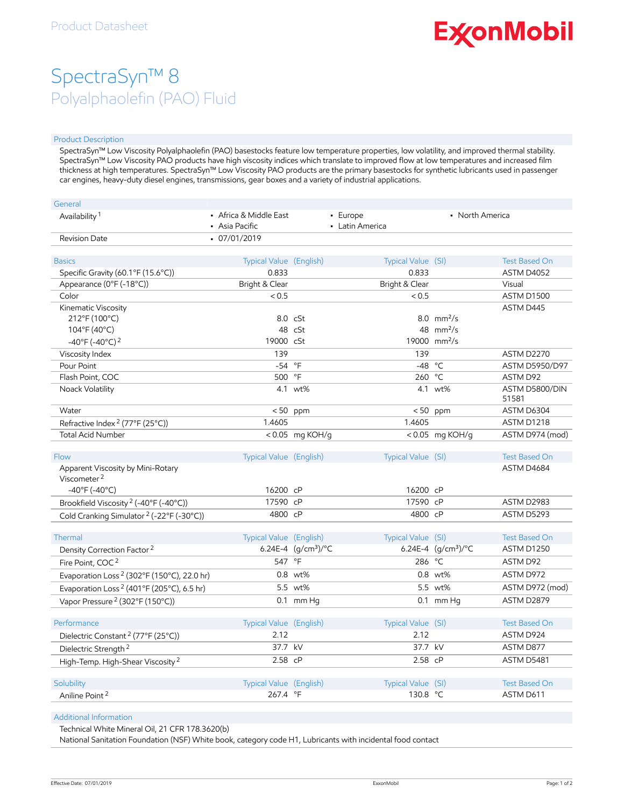# **ExconMobil**

## SpectraSyn™ 8 Polyalphaolefin (PAO) Fluid

### Product Description

SpectraSyn™ Low Viscosity Polyalphaolefin (PAO) basestocks feature low temperature properties, low volatility, and improved thermal stability. SpectraSyn™ Low Viscosity PAO products have high viscosity indices which translate to improved flow at low temperatures and increased film thickness at high temperatures. SpectraSyn™ Low Viscosity PAO products are the primary basestocks for synthetic lubricants used in passenger car engines, heavy-duty diesel engines, transmissions, gear boxes and a variety of industrial applications.

| General                                                      |                                          |                       |                             |                                                 |                       |
|--------------------------------------------------------------|------------------------------------------|-----------------------|-----------------------------|-------------------------------------------------|-----------------------|
| Availability <sup>1</sup>                                    | • Africa & Middle East<br>• Asia Pacific |                       | • Europe<br>• Latin America | • North America                                 |                       |
| <b>Revision Date</b>                                         | $-07/01/2019$                            |                       |                             |                                                 |                       |
|                                                              |                                          |                       |                             |                                                 |                       |
| <b>Basics</b>                                                | Typical Value (English)                  |                       | Typical Value (SI)          |                                                 | <b>Test Based On</b>  |
| Specific Gravity (60.1°F (15.6°C))                           | 0.833                                    |                       | 0.833                       |                                                 | ASTM D4052            |
| Appearance (0°F (-18°C))                                     | Bright & Clear                           |                       | Bright & Clear              |                                                 | Visual                |
| Color                                                        | < 0.5                                    |                       | < 0.5                       |                                                 | ASTM D1500            |
| Kinematic Viscosity                                          |                                          |                       |                             |                                                 | ASTM D445             |
| 212°F (100°C)<br>104°F (40°C)                                |                                          | $8.0 \cS$ t<br>48 cSt |                             | 8.0 mm <sup>2</sup> /s<br>48 mm <sup>2</sup> /s |                       |
|                                                              | 19000 cSt                                |                       |                             | 19000 mm <sup>2</sup> /s                        |                       |
| $-40^{\circ}$ F (-40 $^{\circ}$ C) <sup>2</sup>              | 139                                      |                       | 139                         |                                                 | <b>ASTM D2270</b>     |
| Viscosity Index<br>Pour Point                                | $-54$ °F                                 |                       |                             | $-48 °C$                                        | <b>ASTM D5950/D97</b> |
| Flash Point, COC                                             | 500 °F                                   |                       | 260 °C                      |                                                 | ASTM D92              |
| Noack Volatility                                             |                                          | 4.1 wt%               |                             | 4.1 wt%                                         | ASTM D5800/DIN        |
|                                                              |                                          |                       |                             |                                                 | 51581                 |
| Water                                                        |                                          | $< 50$ ppm            |                             | $< 50$ ppm                                      | ASTM D6304            |
| Refractive Index <sup>2</sup> (77°F (25°C))                  | 1.4605                                   |                       | 1.4605                      |                                                 | ASTM D1218            |
| <b>Total Acid Number</b>                                     |                                          | < $0.05$ mg KOH/g     |                             | < 0.05 mg KOH/g                                 | ASTM D974 (mod)       |
|                                                              |                                          |                       |                             |                                                 |                       |
| <b>Flow</b>                                                  | Typical Value (English)                  |                       | Typical Value (SI)          |                                                 | <b>Test Based On</b>  |
| Apparent Viscosity by Mini-Rotary<br>Viscometer <sup>2</sup> |                                          |                       |                             |                                                 | ASTM D4684            |
| $-40^{\circ}$ F (-40°C)                                      | 16200 cP                                 |                       | 16200 cP                    |                                                 |                       |
| Brookfield Viscosity <sup>2</sup> (-40°F (-40°C))            | 17590 cP                                 |                       | 17590 cP                    |                                                 | ASTM D2983            |
| Cold Cranking Simulator <sup>2</sup> (-22°F (-30°C))         | 4800 cP                                  |                       | 4800 cP                     |                                                 | ASTM D5293            |
|                                                              |                                          |                       |                             |                                                 |                       |
| Thermal                                                      | Typical Value (English)                  |                       | Typical Value (SI)          |                                                 | <b>Test Based On</b>  |
| Density Correction Factor <sup>2</sup>                       |                                          | 6.24E-4 $(g/cm3)$ /°C |                             | 6.24E-4 $(g/cm3)$ /°C                           | <b>ASTM D1250</b>     |
| Fire Point, COC <sup>2</sup>                                 | 547 °F                                   |                       | 286 °C                      |                                                 | ASTM D92              |
| Evaporation Loss <sup>2</sup> (302°F (150°C), 22.0 hr)       |                                          | 0.8 wt%               |                             | 0.8 wt%                                         | ASTM D972             |
| Evaporation Loss <sup>2</sup> (401°F (205°C), 6.5 hr)        |                                          | 5.5 wt%               |                             | 5.5 wt%                                         | ASTM D972 (mod)       |
| Vapor Pressure <sup>2</sup> (302°F (150°C))                  |                                          | $0.1$ mm Hq           |                             | $0.1$ mm Hq                                     | ASTM D2879            |
|                                                              |                                          |                       |                             |                                                 |                       |
| Performance                                                  | Typical Value (English)                  |                       | Typical Value (SI)          |                                                 | <b>Test Based On</b>  |
| Dielectric Constant <sup>2</sup> (77°F (25°C))               | 2.12                                     |                       | 2.12                        |                                                 | ASTM D924             |
| Dielectric Strength <sup>2</sup>                             | 37.7 kV                                  |                       | 37.7 kV                     |                                                 | ASTM D877             |
| High-Temp. High-Shear Viscosity <sup>2</sup>                 | 2.58 cP                                  |                       | 2.58 cP                     |                                                 | ASTM D5481            |
|                                                              |                                          |                       |                             |                                                 |                       |
| Solubility                                                   | Typical Value (English)                  |                       | Typical Value (SI)          |                                                 | <b>Test Based On</b>  |
| Aniline Point <sup>2</sup>                                   | 267.4 °F                                 |                       | 130.8 °C                    |                                                 | ASTM D611             |
|                                                              |                                          |                       |                             |                                                 |                       |

### Additional Information

Technical White Mineral Oil, 21 CFR 178.3620(b)

National Sanitation Foundation (NSF) White book, category code H1, Lubricants with incidental food contact